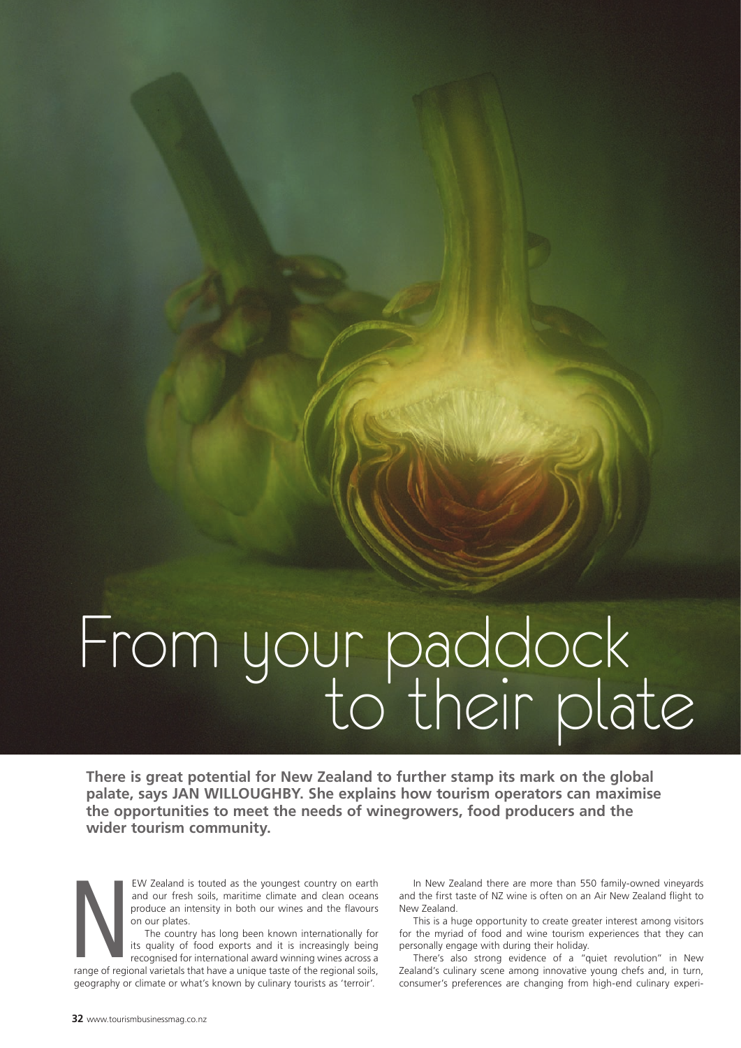# From your paddock to their plate

**There is great potential for New Zealand to further stamp its mark on the global palate, says JAN WILLOUGHBY. She explains how tourism operators can maximise the opportunities to meet the needs of winegrowers, food producers and the wider tourism community.**

ew Zealand is touted as the youngest country on earth and our fresh soils, maritime climate and clean oceans produce an intensity in both our wines and the flavours on our plates.

The country has long been known internationally for its quality of food exports and it is increasingly being recognised for international award winning wines across a

range of regional varietals that have a unique taste of the regional soils, geography or climate or what's known by culinary tourists as 'terroir'. ange of region

In New Zealand there are more than 550 family-owned vineyards and the first taste of NZ wine is often on an Air New Zealand flight to New Zealand.

This is a huge opportunity to create greater interest among visitors for the myriad of food and wine tourism experiences that they can personally engage with during their holiday.

There's also strong evidence of a "quiet revolution" in New Zealand's culinary scene among innovative young chefs and, in turn, consumer's preferences are changing from high-end culinary experi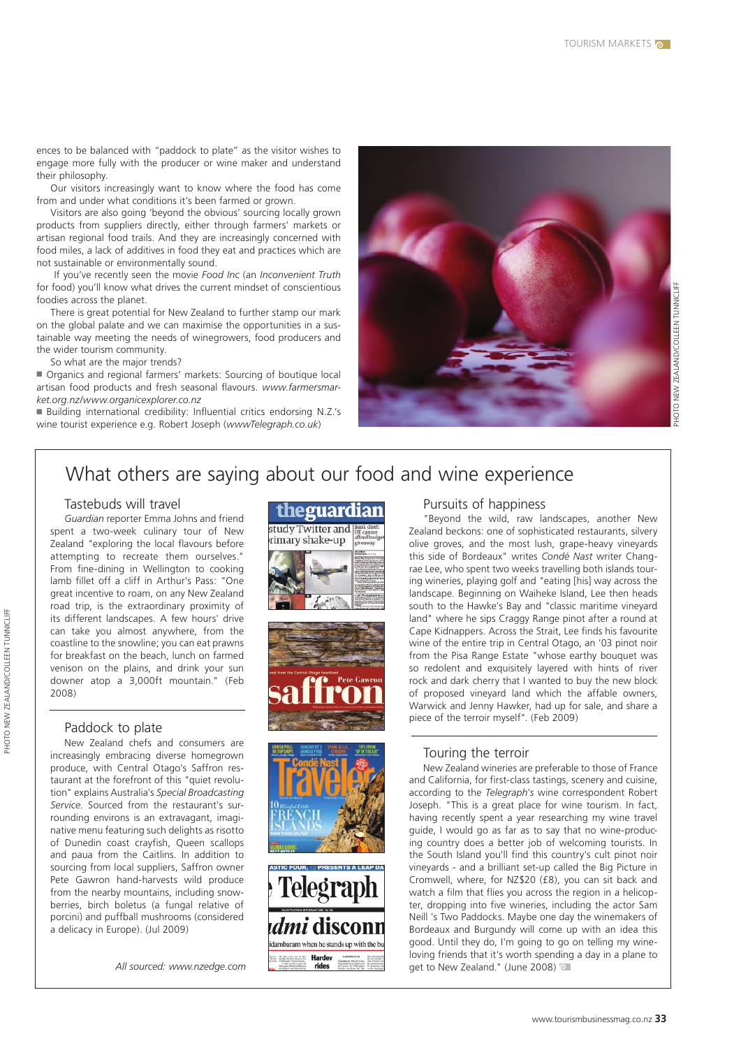ences to be balanced with "paddock to plate" as the visitor wishes to engage more fully with the producer or wine maker and understand their philosophy.

Our visitors increasingly want to know where the food has come from and under what conditions it's been farmed or grown.

Visitors are also going 'beyond the obvious' sourcing locally grown products from suppliers directly, either through farmers' markets or artisan regional food trails. And they are increasingly concerned with food miles, a lack of additives in food they eat and practices which are not sustainable or environmentally sound.

 If you've recently seen the movie *Food Inc* (an *Inconvenient Truth*  for food) you'll know what drives the current mindset of conscientious foodies across the planet.

There is great potential for New Zealand to further stamp our mark on the global palate and we can maximise the opportunities in a sustainable way meeting the needs of winegrowers, food producers and the wider tourism community.

So what are the major trends?

■ Organics and regional farmers' markets: Sourcing of boutique local artisan food products and fresh seasonal flavours. *www.farmersmarket.org.nz/www.organicexplorer.co.nz*

■ Building international credibility: Influential critics endorsing N.Z.'s wine tourist experience e.g. Robert Joseph (*wwwTelegraph.co.uk*)



## What others are saying about our food and wine experience

#### Tastebuds will travel

*Guardian* reporter Emma Johns and friend spent a two-week culinary tour of New Zealand "exploring the local flavours before attempting to recreate them ourselves." From fine-dining in Wellington to cooking lamb fillet off a cliff in Arthur's Pass: "One great incentive to roam, on any New Zealand road trip, is the extraordinary proximity of its different landscapes. A few hours' drive can take you almost anywhere, from the coastline to the snowline; you can eat prawns for breakfast on the beach, lunch on farmed venison on the plains, and drink your sun downer atop a 3,000ft mountain." (Feb 2008)

#### Paddock to plate

New Zealand chefs and consumers are increasingly embracing diverse homegrown produce, with Central Otago's Saffron restaurant at the forefront of this "quiet revolution" explains Australia's *Special Broadcasting Service*. Sourced from the restaurant's surrounding environs is an extravagant, imaginative menu featuring such delights as risotto of Dunedin coast crayfish, Queen scallops and paua from the Caitlins. In addition to sourcing from local suppliers, Saffron owner Pete Gawron hand-harvests wild produce from the nearby mountains, including snowberries, birch boletus (a fungal relative of porcini) and puffball mushrooms (considered a delicacy in Europe). (Jul 2009)

*All sourced: www.nzedge.com*

# theguardian study Twitter and **R** rimary shake-up







#### Pursuits of happiness

"Beyond the wild, raw landscapes, another New Zealand beckons: one of sophisticated restaurants, silvery olive groves, and the most lush, grape-heavy vineyards this side of Bordeaux" writes *Condé Nast* writer Changrae Lee, who spent two weeks travelling both islands touring wineries, playing golf and "eating [his] way across the landscape. Beginning on Waiheke Island, Lee then heads south to the Hawke's Bay and "classic maritime vineyard land" where he sips Craggy Range pinot after a round at Cape Kidnappers. Across the Strait, Lee finds his favourite wine of the entire trip in Central Otago, an '03 pinot noir from the Pisa Range Estate "whose earthy bouquet was so redolent and exquisitely layered with hints of river rock and dark cherry that I wanted to buy the new block of proposed vineyard land which the affable owners, Warwick and Jenny Hawker, had up for sale, and share a piece of the terroir myself". (Feb 2009)

#### Touring the terroir

New Zealand wineries are preferable to those of France and California, for first-class tastings, scenery and cuisine, according to the *Telegraph's* wine correspondent Robert Joseph. "This is a great place for wine tourism. In fact, having recently spent a year researching my wine travel guide, I would go as far as to say that no wine-producing country does a better job of welcoming tourists. In the South Island you'll find this country's cult pinot noir vineyards - and a brilliant set-up called the Big Picture in Cromwell, where, for NZ\$20 (£8), you can sit back and watch a film that flies you across the region in a helicopter, dropping into five wineries, including the actor Sam Neill 's Two Paddocks. Maybe one day the winemakers of Bordeaux and Burgundy will come up with an idea this good. Until they do, I'm going to go on telling my wineloving friends that it's worth spending a day in a plane to get to New Zealand." (June 2008)